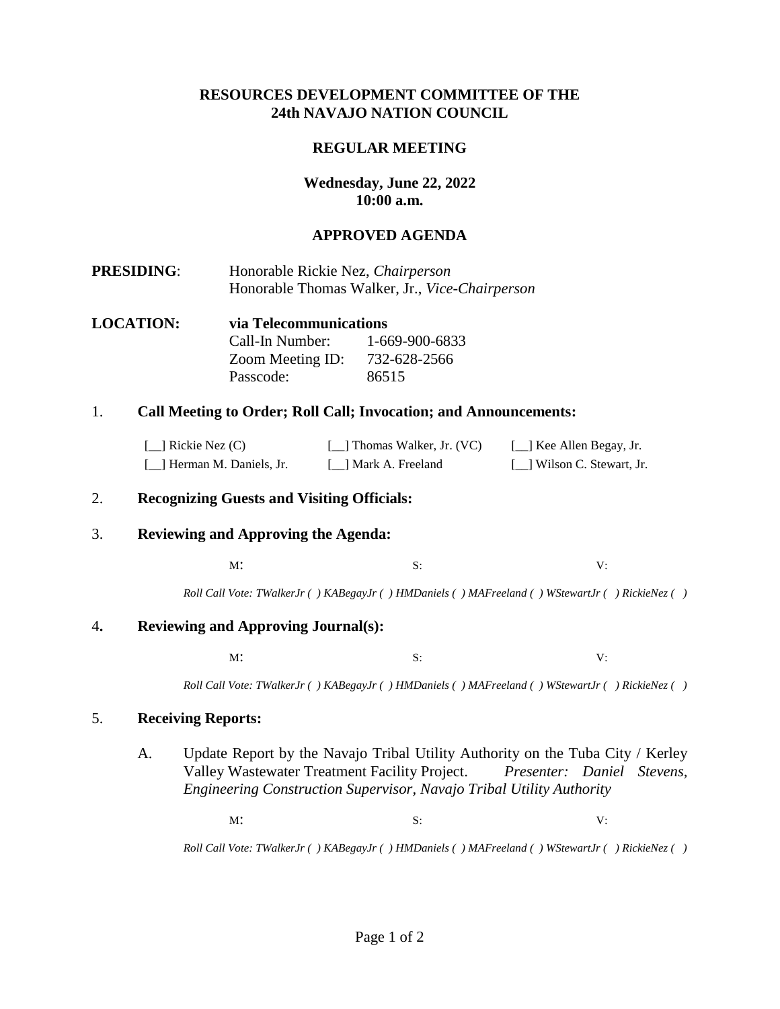## **RESOURCES DEVELOPMENT COMMITTEE OF THE 24th NAVAJO NATION COUNCIL**

## **REGULAR MEETING**

# **Wednesday, June 22, 2022 10:00 a.m.**

## **APPROVED AGENDA**

- **PRESIDING**: Honorable Rickie Nez, *Chairperson* Honorable Thomas Walker, Jr., *Vice-Chairperson*
- **LOCATION: via Telecommunications**  Call-In Number: 1-669-900-6833 Zoom Meeting ID: 732-628-2566 Passcode: 86515

### 1. **Call Meeting to Order; Roll Call; Invocation; and Announcements:**

| $[\_]$ Rickie Nez (C)      | [14] Thomas Walker, Jr. (VC) | [_] Kee Allen Begay, Jr.   |
|----------------------------|------------------------------|----------------------------|
| [_] Herman M. Daniels, Jr. | [ 1 Mark A. Freeland         | [_] Wilson C. Stewart, Jr. |

### 2. **Recognizing Guests and Visiting Officials:**

### 3. **Reviewing and Approving the Agenda:**

 $M$ : S: V:

*Roll Call Vote: TWalkerJr ( ) KABegayJr ( ) HMDaniels ( ) MAFreeland ( ) WStewartJr ( ) RickieNez ( )*

### 4**. Reviewing and Approving Journal(s):**

 $M$ : S: V:

*Roll Call Vote: TWalkerJr ( ) KABegayJr ( ) HMDaniels ( ) MAFreeland ( ) WStewartJr ( ) RickieNez ( )*

### 5. **Receiving Reports:**

A. Update Report by the Navajo Tribal Utility Authority on the Tuba City / Kerley Valley Wastewater Treatment Facility Project. *Presenter: Daniel Stevens, Engineering Construction Supervisor, Navajo Tribal Utility Authority*

 $M$ : S: V:

*Roll Call Vote: TWalkerJr ( ) KABegayJr ( ) HMDaniels ( ) MAFreeland ( ) WStewartJr ( ) RickieNez ( )*